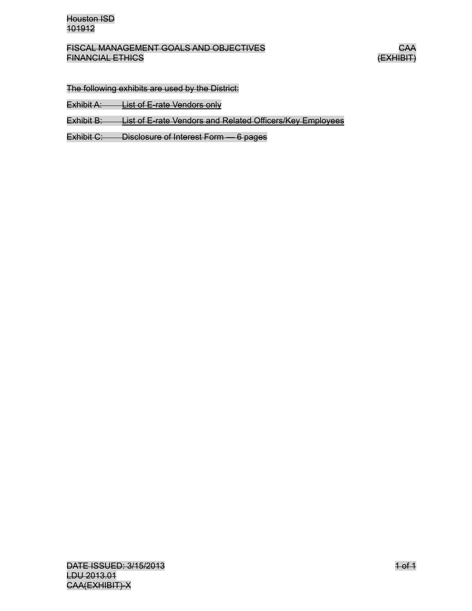The following exhibits are used by the District:

Exhibit A: List of E-rate Vendors only

Exhibit B: List of E-rate Vendors and Related Officers/Key Employees

Exhibit C: Disclosure of Interest Form — 6 pages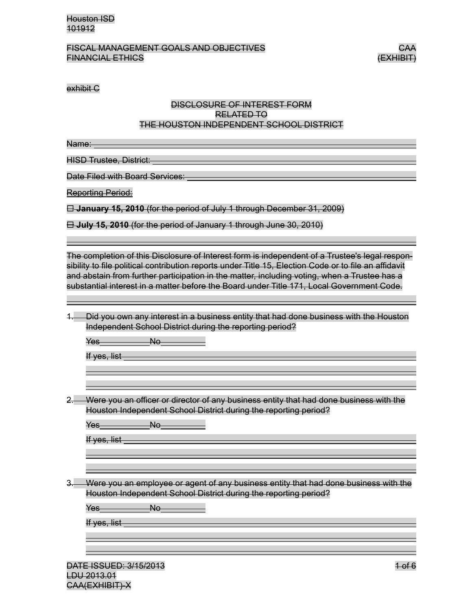#### FISCAL MANAGEMENT GOALS AND OBJECTIVES CAA FINANCIAL ETHICS (EXHIBIT)

#### exhibit C

#### DISCLOSURE OF INTEREST FORM RELATED TO THE HOUSTON INDEPENDENT SCHOOL DISTRICT

Name:

HISD Trustee, District:

Date Filed with Board Services:

Reporting Period:

**January 15, 2010** (for the period of July 1 through December 31, 2009)

**July 15, 2010** (for the period of January 1 through June 30, 2010)

The completion of this Disclosure of Interest form is independent of a Trustee's legal responsibility to file political contribution reports under Title 15, Election Code or to file an affidavit and abstain from further participation in the matter, including voting, when a Trustee has a substantial interest in a matter before the Board under Title 171, Local Government Code.

| Did you own any interest in a business entity that had done business with the Houston                                    |
|--------------------------------------------------------------------------------------------------------------------------|
| <u>Lia you omn any interest in a business chility that had done business with the Houston</u>                            |
| Independent School District during the reporting period?<br><del>macpenaem conou pisanu uumiy ule leporing penou :</del> |
|                                                                                                                          |

Yes No

If yes, list

2. Were you an officer or director of any business entity that had done business with the Houston Independent School District during the reporting period?

Yes No

If yes, list

3. Were you an employee or agent of any business entity that had done business with the Houston Independent School District during the reporting period?

Yes No

If yes, list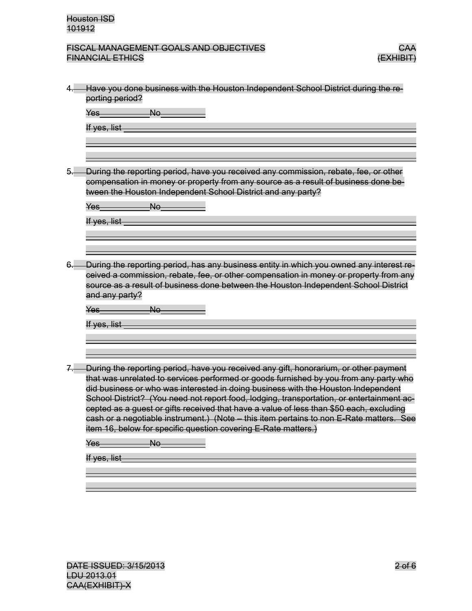

| Have you done business with the Houston Independent School District during the re-<br>porting period?                                                                                                                                                                                                                                                                                            |
|--------------------------------------------------------------------------------------------------------------------------------------------------------------------------------------------------------------------------------------------------------------------------------------------------------------------------------------------------------------------------------------------------|
|                                                                                                                                                                                                                                                                                                                                                                                                  |
| No<br>Yes                                                                                                                                                                                                                                                                                                                                                                                        |
| If yes, list                                                                                                                                                                                                                                                                                                                                                                                     |
|                                                                                                                                                                                                                                                                                                                                                                                                  |
|                                                                                                                                                                                                                                                                                                                                                                                                  |
| During the reporting period, have you received any commission, rebate, fee, or other<br>compensation in money or property from any source as a result of business done be-<br>tween the Houston Independent School District and any party?                                                                                                                                                       |
| No<br>Yes                                                                                                                                                                                                                                                                                                                                                                                        |
| If yes, list                                                                                                                                                                                                                                                                                                                                                                                     |
|                                                                                                                                                                                                                                                                                                                                                                                                  |
|                                                                                                                                                                                                                                                                                                                                                                                                  |
|                                                                                                                                                                                                                                                                                                                                                                                                  |
|                                                                                                                                                                                                                                                                                                                                                                                                  |
| ceived a commission, rebate, fee, or other compensation in money or property from any<br>source as a result of business done between the Houston Independent School District<br>and any party?<br>No<br>Yes                                                                                                                                                                                      |
|                                                                                                                                                                                                                                                                                                                                                                                                  |
| If yes, list                                                                                                                                                                                                                                                                                                                                                                                     |
|                                                                                                                                                                                                                                                                                                                                                                                                  |
| During the reporting period, have you received any gift, honorarium, or other payment                                                                                                                                                                                                                                                                                                            |
| did business or who was interested in doing business with the Houston Independent                                                                                                                                                                                                                                                                                                                |
| cepted as a guest or gifts received that have a value of less than \$50 each, excluding<br>item 16, below for specific question covering E-Rate matters.)                                                                                                                                                                                                                                        |
| $Ne-$<br>Yes                                                                                                                                                                                                                                                                                                                                                                                     |
| that was unrelated to services performed or goods furnished by you from any party who<br>School District? (You need not report food, lodging, transportation, or entertainment ac-<br>cash or a negotiable instrument.) (Note - this item pertains to non E-Rate matters. See<br>If yes, list and the state of the state of the state of the state of the state of the state of the state of the |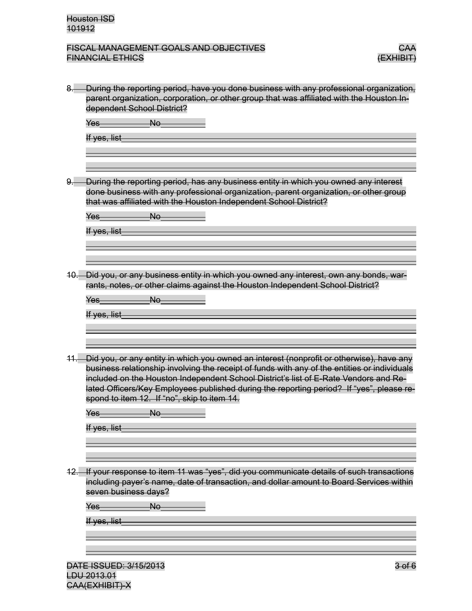| 8.   | During the reporting period, have you done business with any professional organization,<br>parent organization, corporation, or other group that was affiliated with the Houston In-<br>dependent School District?                                                                                                                                                                                                          |
|------|-----------------------------------------------------------------------------------------------------------------------------------------------------------------------------------------------------------------------------------------------------------------------------------------------------------------------------------------------------------------------------------------------------------------------------|
|      | <b>No</b><br>Yes<br>If yes, list                                                                                                                                                                                                                                                                                                                                                                                            |
|      |                                                                                                                                                                                                                                                                                                                                                                                                                             |
|      | During the reporting period, has any business entity in which you owned any interest<br>done business with any professional organization, parent organization, or other group<br>that was affiliated with the Houston Independent School District?                                                                                                                                                                          |
|      | No<br>Yes                                                                                                                                                                                                                                                                                                                                                                                                                   |
|      | If yes, list                                                                                                                                                                                                                                                                                                                                                                                                                |
|      |                                                                                                                                                                                                                                                                                                                                                                                                                             |
|      |                                                                                                                                                                                                                                                                                                                                                                                                                             |
| -10. | Did you, or any business entity in which you owned any interest, own any bonds, war-<br>rants, notes, or other claims against the Houston Independent School District?                                                                                                                                                                                                                                                      |
|      | No<br>Yes                                                                                                                                                                                                                                                                                                                                                                                                                   |
|      | If yes, list                                                                                                                                                                                                                                                                                                                                                                                                                |
|      |                                                                                                                                                                                                                                                                                                                                                                                                                             |
|      |                                                                                                                                                                                                                                                                                                                                                                                                                             |
|      | Did you, or any entity in which you owned an interest (nonprofit or otherwise), have any<br>business relationship involving the receipt of funds with any of the entities or individuals<br>included on the Houston Independent School District's list of E-Rate Vendors and Re-<br>lated Officers/Key Employees published during the reporting period? If "yes", please re-<br>spond to item 12. If "no", skip to item 14. |
|      | No<br>Yes                                                                                                                                                                                                                                                                                                                                                                                                                   |
|      | <del>If yes, list</del>                                                                                                                                                                                                                                                                                                                                                                                                     |
|      |                                                                                                                                                                                                                                                                                                                                                                                                                             |
|      |                                                                                                                                                                                                                                                                                                                                                                                                                             |
|      | 12. If your response to item 11 was "yes", did you communicate details of such transactions<br>including payer's name, date of transaction, and dollar amount to Board Services within<br>seven business days?                                                                                                                                                                                                              |
|      | N <sub>o</sub><br><del>Yes</del>                                                                                                                                                                                                                                                                                                                                                                                            |
|      | If yes, list                                                                                                                                                                                                                                                                                                                                                                                                                |
|      |                                                                                                                                                                                                                                                                                                                                                                                                                             |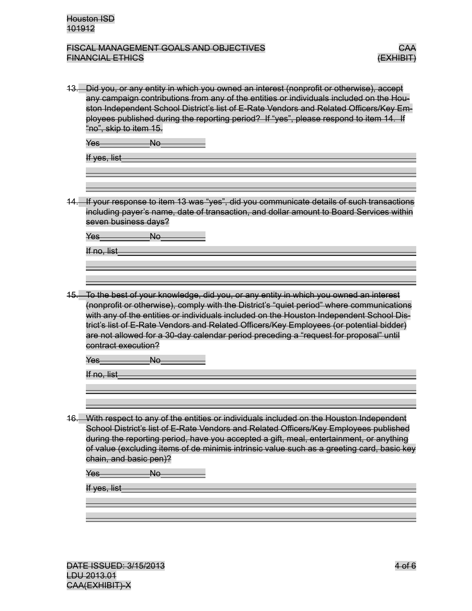| <u>13.    Did you, or any entity in which you owned an interest (nonprofit or otherwise), accept</u><br>any campaign contributions from any of the entities or individuals included on the Hou-<br>ston Independent School District's list of E-Rate Vendors and Related Officers/Key Em-<br>ployees published during the reporting period? If "yes", please respond to item 14. If<br>"no", skip to item 15.                                                                                                      |
|--------------------------------------------------------------------------------------------------------------------------------------------------------------------------------------------------------------------------------------------------------------------------------------------------------------------------------------------------------------------------------------------------------------------------------------------------------------------------------------------------------------------|
| Yes<br>Nө                                                                                                                                                                                                                                                                                                                                                                                                                                                                                                          |
| If yes, list                                                                                                                                                                                                                                                                                                                                                                                                                                                                                                       |
|                                                                                                                                                                                                                                                                                                                                                                                                                                                                                                                    |
| If your response to item 13 was "yes", did you communicate details of such transactions<br>including payer's name, date of transaction, and dollar amount to Board Services within<br>seven business days?                                                                                                                                                                                                                                                                                                         |
| Yes<br><del>No</del>                                                                                                                                                                                                                                                                                                                                                                                                                                                                                               |
| If no, list                                                                                                                                                                                                                                                                                                                                                                                                                                                                                                        |
|                                                                                                                                                                                                                                                                                                                                                                                                                                                                                                                    |
| 15. To the best of your knowledge, did you, or any entity in which you owned an interest<br>(nonprofit or otherwise), comply with the District's "quiet period" where communications<br>with any of the entities or individuals included on the Houston Independent School Dis-<br>trict's list of E-Rate Vendors and Related Officers/Key Employees (or potential bidder)<br>are not allowed for a 30-day calendar period preceding a "request for proposal" until<br>contract execution?<br><del>No</del><br>Yes |
| If no, list                                                                                                                                                                                                                                                                                                                                                                                                                                                                                                        |
|                                                                                                                                                                                                                                                                                                                                                                                                                                                                                                                    |
| 16. With respect to any of the entities or individuals included on the Houston Independent<br>School District's list of E-Rate Vendors and Related Officers/Key Employees published<br>during the reporting period, have you accepted a gift, meal, entertainment, or anything<br>of value (excluding items of de minimis intrinsic value such as a greeting card, basic key<br>chain, and basic pen)?<br>N <sub>0</sub><br>Yes<br>If yes, list                                                                    |
|                                                                                                                                                                                                                                                                                                                                                                                                                                                                                                                    |
|                                                                                                                                                                                                                                                                                                                                                                                                                                                                                                                    |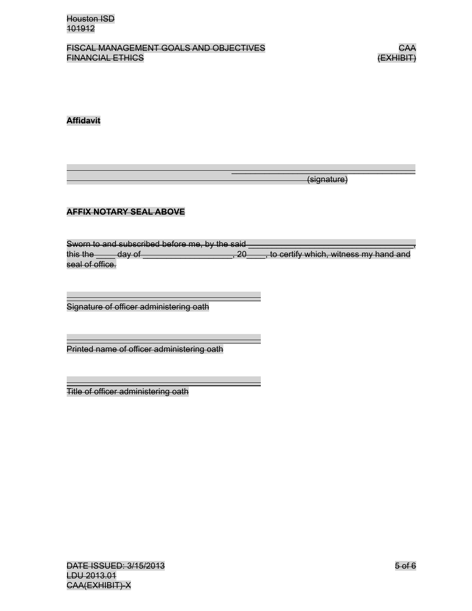

#### **Affidavit**

(signature)

# **AFFIX NOTARY SEAL ABOVE**

Sworn to and subscribed before me, by the said this the  $\rule{1em}{0.15mm}$  day of  $\rule{1em}{0.15mm}$  and  $\rule{1em}{0.15mm}$ , to certify which, witness my hand and seal of office.

 $\overline{\phantom{a}}$  , and the contract of the contract of the contract of the contract of the contract of the contract of the contract of the contract of the contract of the contract of the contract of the contract of the contrac

Signature of officer administering oath

Printed name of officer administering oath

Title of officer administering oath